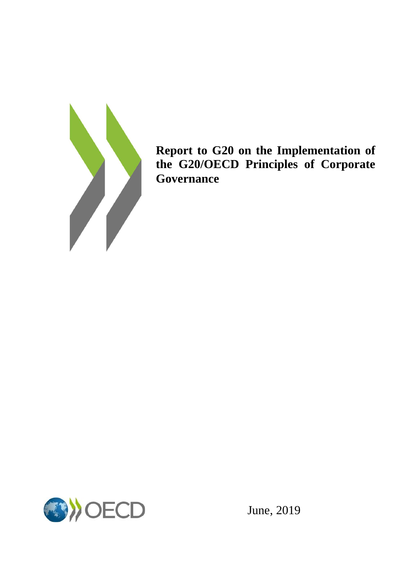

**Report to G20 on the Implementation of the G20/OECD Principles of Corporate Governance**



June, 2019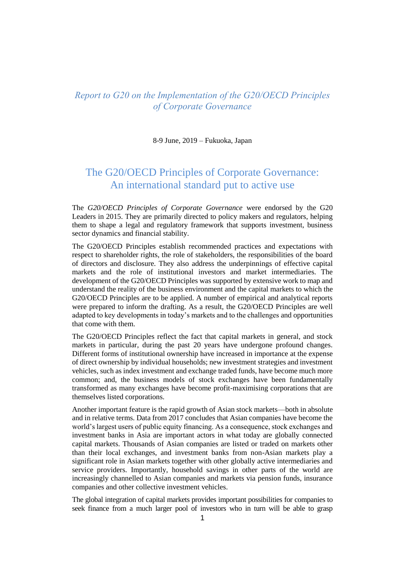# *Report to G20 on the Implementation of the G20/OECD Principles of Corporate Governance*

## 8-9 June, 2019 – Fukuoka, Japan

# The G20/OECD Principles of Corporate Governance: An international standard put to active use

The *G20/OECD Principles of Corporate Governance* were endorsed by the G20 Leaders in 2015. They are primarily directed to policy makers and regulators, helping them to shape a legal and regulatory framework that supports investment, business sector dynamics and financial stability.

The G20/OECD Principles establish recommended practices and expectations with respect to shareholder rights, the role of stakeholders, the responsibilities of the board of directors and disclosure. They also address the underpinnings of effective capital markets and the role of institutional investors and market intermediaries. The development of the G20/OECD Principles was supported by extensive work to map and understand the reality of the business environment and the capital markets to which the G20/OECD Principles are to be applied. A number of empirical and analytical reports were prepared to inform the drafting. As a result, the G20/OECD Principles are well adapted to key developments in today's markets and to the challenges and opportunities that come with them.

The G20/OECD Principles reflect the fact that capital markets in general, and stock markets in particular, during the past 20 years have undergone profound changes. Different forms of institutional ownership have increased in importance at the expense of direct ownership by individual households; new investment strategies and investment vehicles, such as index investment and exchange traded funds, have become much more common; and, the business models of stock exchanges have been fundamentally transformed as many exchanges have become profit-maximising corporations that are themselves listed corporations.

Another important feature is the rapid growth of Asian stock markets—both in absolute and in relative terms. Data from 2017 concludes that Asian companies have become the world's largest users of public equity financing. As a consequence, stock exchanges and investment banks in Asia are important actors in what today are globally connected capital markets. Thousands of Asian companies are listed or traded on markets other than their local exchanges, and investment banks from non-Asian markets play a significant role in Asian markets together with other globally active intermediaries and service providers. Importantly, household savings in other parts of the world are increasingly channelled to Asian companies and markets via pension funds, insurance companies and other collective investment vehicles.

The global integration of capital markets provides important possibilities for companies to seek finance from a much larger pool of investors who in turn will be able to grasp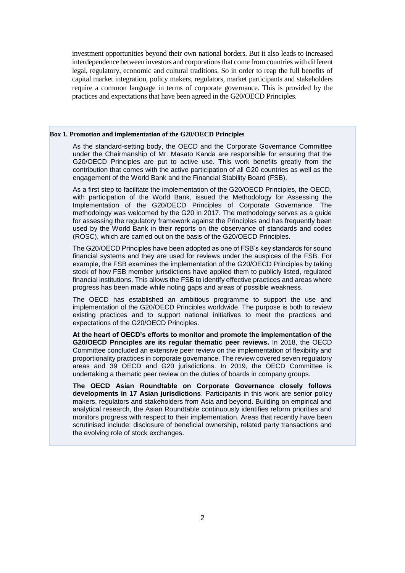investment opportunities beyond their own national borders. But it also leads to increased interdependence between investors and corporations that come from countries with different legal, regulatory, economic and cultural traditions. So in order to reap the full benefits of capital market integration, policy makers, regulators, market participants and stakeholders require a common language in terms of corporate governance. This is provided by the practices and expectations that have been agreed in the G20/OECD Principles.

#### **Box 1. Promotion and implementation of the G20/OECD Principles**

As the standard-setting body, the OECD and the Corporate Governance Committee under the Chairmanship of Mr. Masato Kanda are responsible for ensuring that the G20/OECD Principles are put to active use. This work benefits greatly from the contribution that comes with the active participation of all G20 countries as well as the engagement of the World Bank and the Financial Stability Board (FSB).

As a first step to facilitate the implementation of the G20/OECD Principles, the OECD, with participation of the World Bank, issued the Methodology for Assessing the Implementation of the G20/OECD Principles of Corporate Governance. The methodology was welcomed by the G20 in 2017. The methodology serves as a guide for assessing the regulatory framework against the Principles and has frequently been used by the World Bank in their reports on the observance of standards and codes (ROSC), which are carried out on the basis of the G20/OECD Principles.

The G20/OECD Principles have been adopted as one of FSB's key standards for sound financial systems and they are used for reviews under the auspices of the FSB. For example, the FSB examines the implementation of the G20/OECD Principles by taking stock of how FSB member jurisdictions have applied them to publicly listed, regulated financial institutions. This allows the FSB to identify effective practices and areas where progress has been made while noting gaps and areas of possible weakness.

The OECD has established an ambitious programme to support the use and implementation of the G20/OECD Principles worldwide. The purpose is both to review existing practices and to support national initiatives to meet the practices and expectations of the G20/OECD Principles.

**At the heart of OECD's efforts to monitor and promote the implementation of the G20/OECD Principles are its regular thematic peer reviews.** In 2018, the OECD Committee concluded an extensive peer review on the implementation of flexibility and proportionality practices in corporate governance. The review covered seven regulatory areas and 39 OECD and G20 jurisdictions. In 2019, the OECD Committee is undertaking a thematic peer review on the duties of boards in company groups.

**The OECD Asian Roundtable on Corporate Governance closely follows developments in 17 Asian jurisdictions**. Participants in this work are senior policy makers, regulators and stakeholders from Asia and beyond. Building on empirical and analytical research, the Asian Roundtable continuously identifies reform priorities and monitors progress with respect to their implementation. Areas that recently have been scrutinised include: disclosure of beneficial ownership, related party transactions and the evolving role of stock exchanges.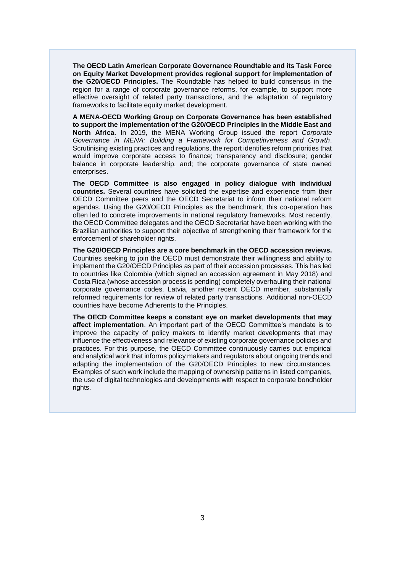**The OECD Latin American Corporate Governance Roundtable and its Task Force on Equity Market Development provides regional support for implementation of the G20/OECD Principles.** The Roundtable has helped to build consensus in the region for a range of corporate governance reforms, for example, to support more effective oversight of related party transactions, and the adaptation of regulatory frameworks to facilitate equity market development.

**A MENA-OECD Working Group on Corporate Governance has been established to support the implementation of the G20/OECD Principles in the Middle East and North Africa**. In 2019, the MENA Working Group issued the report *Corporate Governance in MENA: Building a Framework for Competitiveness and Growth*. Scrutinising existing practices and regulations, the report identifies reform priorities that would improve corporate access to finance; transparency and disclosure; gender balance in corporate leadership, and; the corporate governance of state owned enterprises.

**The OECD Committee is also engaged in policy dialogue with individual countries.** Several countries have solicited the expertise and experience from their OECD Committee peers and the OECD Secretariat to inform their national reform agendas. Using the G20/OECD Principles as the benchmark, this co-operation has often led to concrete improvements in national regulatory frameworks. Most recently, the OECD Committee delegates and the OECD Secretariat have been working with the Brazilian authorities to support their objective of strengthening their framework for the enforcement of shareholder rights.

**The G20/OECD Principles are a core benchmark in the OECD accession reviews.** Countries seeking to join the OECD must demonstrate their willingness and ability to implement the G20/OECD Principles as part of their accession processes. This has led to countries like Colombia (which signed an accession agreement in May 2018) and Costa Rica (whose accession process is pending) completely overhauling their national corporate governance codes. Latvia, another recent OECD member, substantially reformed requirements for review of related party transactions. Additional non-OECD countries have become Adherents to the Principles.

**The OECD Committee keeps a constant eye on market developments that may affect implementation**. An important part of the OECD Committee's mandate is to improve the capacity of policy makers to identify market developments that may influence the effectiveness and relevance of existing corporate governance policies and practices. For this purpose, the OECD Committee continuously carries out empirical and analytical work that informs policy makers and regulators about ongoing trends and adapting the implementation of the G20/OECD Principles to new circumstances. Examples of such work include the mapping of ownership patterns in listed companies, the use of digital technologies and developments with respect to corporate bondholder rights.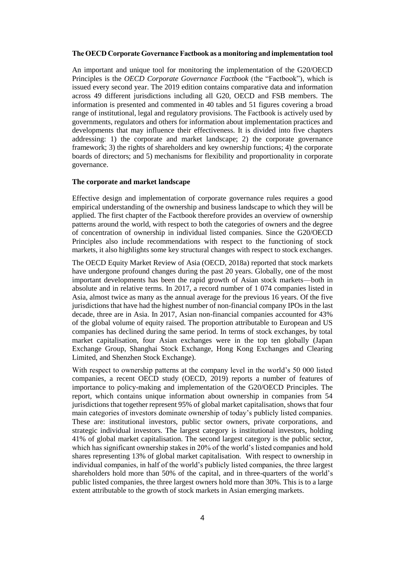## **The OECD Corporate Governance Factbook as a monitoring and implementation tool**

An important and unique tool for monitoring the implementation of the G20/OECD Principles is the *OECD Corporate Governance Factbook* (the "Factbook"), which is issued every second year. The 2019 edition contains comparative data and information across 49 different jurisdictions including all G20, OECD and FSB members. The information is presented and commented in 40 tables and 51 figures covering a broad range of institutional, legal and regulatory provisions. The Factbook is actively used by governments, regulators and others for information about implementation practices and developments that may influence their effectiveness. It is divided into five chapters addressing: 1) the corporate and market landscape; 2) the corporate governance framework; 3) the rights of shareholders and key ownership functions; 4) the corporate boards of directors; and 5) mechanisms for flexibility and proportionality in corporate governance.

# **The corporate and market landscape**

Effective design and implementation of corporate governance rules requires a good empirical understanding of the ownership and business landscape to which they will be applied. The first chapter of the Factbook therefore provides an overview of ownership patterns around the world, with respect to both the categories of owners and the degree of concentration of ownership in individual listed companies. Since the G20/OECD Principles also include recommendations with respect to the functioning of stock markets, it also highlights some key structural changes with respect to stock exchanges.

The OECD Equity Market Review of Asia (OECD, 2018a) reported that stock markets have undergone profound changes during the past 20 years. Globally, one of the most important developments has been the rapid growth of Asian stock markets—both in absolute and in relative terms. In 2017, a record number of 1 074 companies listed in Asia, almost twice as many as the annual average for the previous 16 years. Of the five jurisdictions that have had the highest number of non-financial company IPOs in the last decade, three are in Asia. In 2017, Asian non-financial companies accounted for 43% of the global volume of equity raised. The proportion attributable to European and US companies has declined during the same period. In terms of stock exchanges, by total market capitalisation, four Asian exchanges were in the top ten globally (Japan Exchange Group, Shanghai Stock Exchange, Hong Kong Exchanges and Clearing Limited, and Shenzhen Stock Exchange).

With respect to ownership patterns at the company level in the world's 50 000 listed companies, a recent OECD study (OECD, 2019) reports a number of features of importance to policy-making and implementation of the G20/OECD Principles. The report, which contains unique information about ownership in companies from 54 jurisdictions that together represent 95% of global market capitalisation, shows that four main categories of investors dominate ownership of today's publicly listed companies. These are: institutional investors, public sector owners, private corporations, and strategic individual investors. The largest category is institutional investors, holding 41% of global market capitalisation. The second largest category is the public sector, which has significant ownership stakes in 20% of the world's listed companies and hold shares representing 13% of global market capitalisation. With respect to ownership in individual companies, in half of the world's publicly listed companies, the three largest shareholders hold more than 50% of the capital, and in three-quarters of the world's public listed companies, the three largest owners hold more than 30%. This is to a large extent attributable to the growth of stock markets in Asian emerging markets.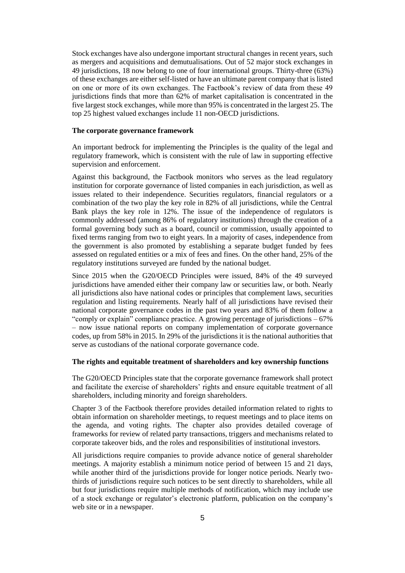Stock exchanges have also undergone important structural changes in recent years, such as mergers and acquisitions and demutualisations. Out of 52 major stock exchanges in 49 jurisdictions, 18 now belong to one of four international groups. Thirty-three  $(63%)$ of these exchanges are either self-listed or have an ultimate parent company that is listed on one or more of its own exchanges. The Factbook's review of data from these 49 jurisdictions finds that more than 62% of market capitalisation is concentrated in the five largest stock exchanges, while more than 95% is concentrated in the largest 25. The top 25 highest valued exchanges include 11 non-OECD jurisdictions.

# **The corporate governance framework**

An important bedrock for implementing the Principles is the quality of the legal and regulatory framework, which is consistent with the rule of law in supporting effective supervision and enforcement.

Against this background, the Factbook monitors who serves as the lead regulatory institution for corporate governance of listed companies in each jurisdiction, as well as issues related to their independence. Securities regulators, financial regulators or a combination of the two play the key role in 82% of all jurisdictions, while the Central Bank plays the key role in 12%. The issue of the independence of regulators is commonly addressed (among 86% of regulatory institutions) through the creation of a formal governing body such as a board, council or commission, usually appointed to fixed terms ranging from two to eight years. In a majority of cases, independence from the government is also promoted by establishing a separate budget funded by fees assessed on regulated entities or a mix of fees and fines. On the other hand, 25% of the regulatory institutions surveyed are funded by the national budget.

Since 2015 when the G20/OECD Principles were issued, 84% of the 49 surveyed jurisdictions have amended either their company law or securities law, or both. Nearly all jurisdictions also have national codes or principles that complement laws, securities regulation and listing requirements. Nearly half of all jurisdictions have revised their national corporate governance codes in the past two years and 83% of them follow a "comply or explain" compliance practice. A growing percentage of jurisdictions – 67% – now issue national reports on company implementation of corporate governance codes, up from 58% in 2015. In 29% of the jurisdictions it is the national authorities that serve as custodians of the national corporate governance code.

# **The rights and equitable treatment of shareholders and key ownership functions**

The G20/OECD Principles state that the corporate governance framework shall protect and facilitate the exercise of shareholders' rights and ensure equitable treatment of all shareholders, including minority and foreign shareholders.

Chapter 3 of the Factbook therefore provides detailed information related to rights to obtain information on shareholder meetings, to request meetings and to place items on the agenda, and voting rights. The chapter also provides detailed coverage of frameworks for review of related party transactions, triggers and mechanisms related to corporate takeover bids, and the roles and responsibilities of institutional investors.

All jurisdictions require companies to provide advance notice of general shareholder meetings. A majority establish a minimum notice period of between 15 and 21 days, while another third of the jurisdictions provide for longer notice periods. Nearly twothirds of jurisdictions require such notices to be sent directly to shareholders, while all but four jurisdictions require multiple methods of notification, which may include use of a stock exchange or regulator's electronic platform, publication on the company's web site or in a newspaper.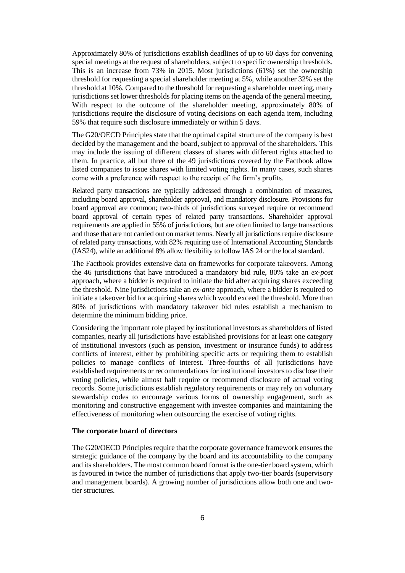Approximately 80% of jurisdictions establish deadlines of up to 60 days for convening special meetings at the request of shareholders, subject to specific ownership thresholds. This is an increase from 73% in 2015. Most jurisdictions (61%) set the ownership threshold for requesting a special shareholder meeting at 5%, while another 32% set the threshold at 10%. Compared to the threshold for requesting a shareholder meeting, many jurisdictions set lower thresholds for placing items on the agenda of the general meeting. With respect to the outcome of the shareholder meeting, approximately 80% of jurisdictions require the disclosure of voting decisions on each agenda item, including 59% that require such disclosure immediately or within 5 days.

The G20/OECD Principles state that the optimal capital structure of the company is best decided by the management and the board, subject to approval of the shareholders. This may include the issuing of different classes of shares with different rights attached to them. In practice, all but three of the 49 jurisdictions covered by the Factbook allow listed companies to issue shares with limited voting rights. In many cases, such shares come with a preference with respect to the receipt of the firm's profits.

Related party transactions are typically addressed through a combination of measures, including board approval, shareholder approval, and mandatory disclosure. Provisions for board approval are common; two-thirds of jurisdictions surveyed require or recommend board approval of certain types of related party transactions. Shareholder approval requirements are applied in 55% of jurisdictions, but are often limited to large transactions and those that are not carried out on market terms. Nearly all jurisdictions require disclosure of related party transactions, with 82% requiring use of International Accounting Standards (IAS24), while an additional 8% allow flexibility to follow IAS 24 or the local standard.

The Factbook provides extensive data on frameworks for corporate takeovers. Among the 46 jurisdictions that have introduced a mandatory bid rule, 80% take an *ex-post* approach, where a bidder is required to initiate the bid after acquiring shares exceeding the threshold. Nine jurisdictions take an *ex-ante* approach, where a bidder is required to initiate a takeover bid for acquiring shares which would exceed the threshold. More than 80% of jurisdictions with mandatory takeover bid rules establish a mechanism to determine the minimum bidding price.

Considering the important role played by institutional investors as shareholders of listed companies, nearly all jurisdictions have established provisions for at least one category of institutional investors (such as pension, investment or insurance funds) to address conflicts of interest, either by prohibiting specific acts or requiring them to establish policies to manage conflicts of interest. Three-fourths of all jurisdictions have established requirements or recommendations for institutional investors to disclose their voting policies, while almost half require or recommend disclosure of actual voting records. Some jurisdictions establish regulatory requirements or may rely on voluntary stewardship codes to encourage various forms of ownership engagement, such as monitoring and constructive engagement with investee companies and maintaining the effectiveness of monitoring when outsourcing the exercise of voting rights.

## **The corporate board of directors**

The G20/OECD Principles require that the corporate governance framework ensures the strategic guidance of the company by the board and its accountability to the company and its shareholders. The most common board format is the one-tier board system, which is favoured in twice the number of jurisdictions that apply two-tier boards (supervisory and management boards). A growing number of jurisdictions allow both one and twotier structures.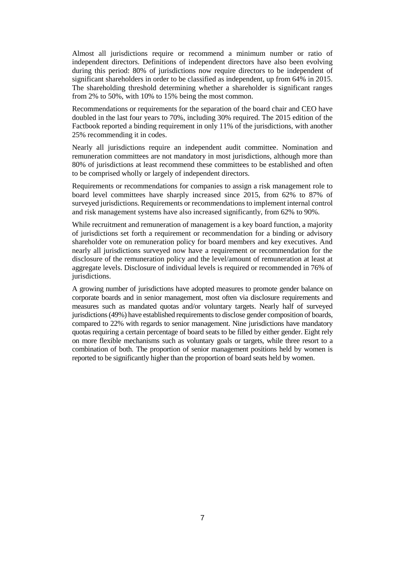Almost all jurisdictions require or recommend a minimum number or ratio of independent directors. Definitions of independent directors have also been evolving during this period: 80% of jurisdictions now require directors to be independent of significant shareholders in order to be classified as independent, up from 64% in 2015. The shareholding threshold determining whether a shareholder is significant ranges from 2% to 50%, with 10% to 15% being the most common.

Recommendations or requirements for the separation of the board chair and CEO have doubled in the last four years to 70%, including 30% required. The 2015 edition of the Factbook reported a binding requirement in only 11% of the jurisdictions, with another 25% recommending it in codes.

Nearly all jurisdictions require an independent audit committee. Nomination and remuneration committees are not mandatory in most jurisdictions, although more than 80% of jurisdictions at least recommend these committees to be established and often to be comprised wholly or largely of independent directors.

Requirements or recommendations for companies to assign a risk management role to board level committees have sharply increased since 2015, from 62% to 87% of surveyed jurisdictions. Requirements or recommendations to implement internal control and risk management systems have also increased significantly, from 62% to 90%.

While recruitment and remuneration of management is a key board function, a majority of jurisdictions set forth a requirement or recommendation for a binding or advisory shareholder vote on remuneration policy for board members and key executives. And nearly all jurisdictions surveyed now have a requirement or recommendation for the disclosure of the remuneration policy and the level/amount of remuneration at least at aggregate levels. Disclosure of individual levels is required or recommended in 76% of jurisdictions.

A growing number of jurisdictions have adopted measures to promote gender balance on corporate boards and in senior management, most often via disclosure requirements and measures such as mandated quotas and/or voluntary targets. Nearly half of surveyed jurisdictions (49%) have established requirements to disclose gender composition of boards, compared to 22% with regards to senior management. Nine jurisdictions have mandatory quotas requiring a certain percentage of board seats to be filled by either gender. Eight rely on more flexible mechanisms such as voluntary goals or targets, while three resort to a combination of both. The proportion of senior management positions held by women is reported to be significantly higher than the proportion of board seats held by women.